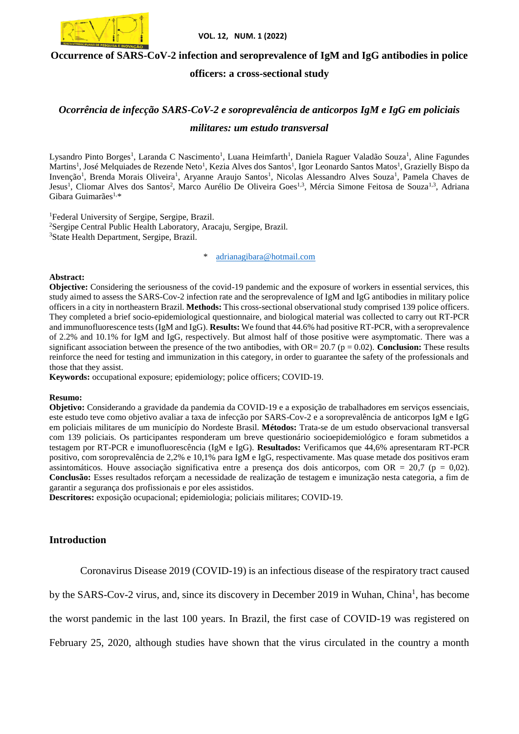

#### **VOL. 12, NUM. 1 (2022)**

### **Occurrence of SARS-CoV-2 infection and seroprevalence of IgM and IgG antibodies in police**

#### **officers: a cross-sectional study**

# *Ocorrência de infecção SARS-CoV-2 e soroprevalência de anticorpos IgM e IgG em policiais*

### *militares: um estudo transversal*

Lysandro Pinto Borges<sup>1</sup>, Laranda C Nascimento<sup>1</sup>, Luana Heimfarth<sup>1</sup>, Daniela Raguer Valadão Souza<sup>1</sup>, Aline Fagundes Martins<sup>1</sup>, José Melquiades de Rezende Neto<sup>1</sup>, Kezia Alves dos Santos<sup>1</sup>, Igor Leonardo Santos Matos<sup>1</sup>, Grazielly Bispo da Invenção<sup>1</sup>, Brenda Morais Oliveira<sup>1</sup>, Aryanne Araujo Santos<sup>1</sup>, Nicolas Alessandro Alves Souza<sup>1</sup>, Pamela Chaves de Jesus<sup>1</sup>, Cliomar Alves dos Santos<sup>2</sup>, Marco Aurélio De Oliveira Goes<sup>1,3</sup>, Mércia Simone Feitosa de Souza<sup>1,3</sup>, Adriana Gibara Guimarães1,\*

<sup>1</sup>Federal University of Sergipe, Sergipe, Brazil. <sup>2</sup>Sergipe Central Public Health Laboratory, Aracaju, Sergipe, Brazil. <sup>3</sup>State Health Department, Sergipe, Brazil.

[adrianagibara@hotmail.com](mailto:adrianagibara@hotmail.com)

#### **Abstract:**

**Objective:** Considering the seriousness of the covid-19 pandemic and the exposure of workers in essential services, this study aimed to assess the SARS-Cov-2 infection rate and the seroprevalence of IgM and IgG antibodies in military police officers in a city in northeastern Brazil. **Methods:** This cross-sectional observational study comprised 139 police officers. They completed a brief socio-epidemiological questionnaire, and biological material was collected to carry out RT-PCR and immunofluorescence tests (IgM and IgG). **Results:** We found that 44.6% had positive RT-PCR, with a seroprevalence of 2.2% and 10.1% for IgM and IgG, respectively. But almost half of those positive were asymptomatic. There was a significant association between the presence of the two antibodies, with OR= 20.7 (p = 0.02). **Conclusion:** These results reinforce the need for testing and immunization in this category, in order to guarantee the safety of the professionals and those that they assist.

**Keywords:** occupational exposure; epidemiology; police officers; COVID-19.

#### **Resumo:**

**Objetivo:** Considerando a gravidade da pandemia da COVID-19 e a exposição de trabalhadores em serviços essenciais, este estudo teve como objetivo avaliar a taxa de infecção por SARS-Cov-2 e a soroprevalência de anticorpos IgM e IgG em policiais militares de um município do Nordeste Brasil. **Métodos:** Trata-se de um estudo observacional transversal com 139 policiais. Os participantes responderam um breve questionário socioepidemiológico e foram submetidos a testagem por RT-PCR e imunofluorescência (IgM e IgG). **Resultados:** Verificamos que 44,6% apresentaram RT-PCR positivo, com soroprevalência de 2,2% e 10,1% para IgM e IgG, respectivamente. Mas quase metade dos positivos eram assintomáticos. Houve associação significativa entre a presença dos dois anticorpos, com OR = 20,7 (p = 0,02). **Conclusão:** Esses resultados reforçam a necessidade de realização de testagem e imunização nesta categoria, a fim de garantir a segurança dos profissionais e por eles assistidos.

**Descritores:** exposição ocupacional; epidemiologia; policiais militares; COVID-19.

#### **Introduction**

Coronavirus Disease 2019 (COVID-19) is an infectious disease of the respiratory tract caused by the SARS-Cov-2 virus, and, since its discovery in December 2019 in Wuhan, China<sup>1</sup>, has become the worst pandemic in the last 100 years. In Brazil, the first case of COVID-19 was registered on February 25, 2020, although studies have shown that the virus circulated in the country a month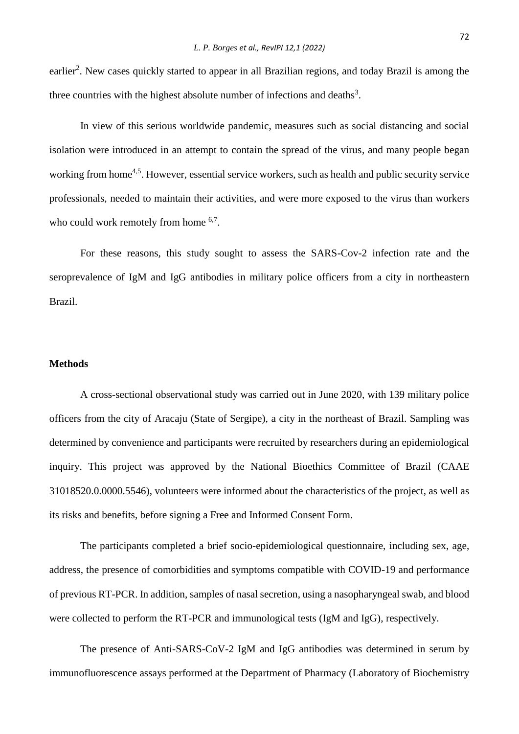earlier<sup>2</sup>. New cases quickly started to appear in all Brazilian regions, and today Brazil is among the three countries with the highest absolute number of infections and deaths<sup>3</sup>.

In view of this serious worldwide pandemic, measures such as social distancing and social isolation were introduced in an attempt to contain the spread of the virus, and many people began working from home<sup>4,5</sup>. However, essential service workers, such as health and public security service professionals, needed to maintain their activities, and were more exposed to the virus than workers who could work remotely from home <sup>6,7</sup>.

For these reasons, this study sought to assess the SARS-Cov-2 infection rate and the seroprevalence of IgM and IgG antibodies in military police officers from a city in northeastern Brazil.

### **Methods**

A cross-sectional observational study was carried out in June 2020, with 139 military police officers from the city of Aracaju (State of Sergipe), a city in the northeast of Brazil. Sampling was determined by convenience and participants were recruited by researchers during an epidemiological inquiry. This project was approved by the National Bioethics Committee of Brazil (CAAE 31018520.0.0000.5546), volunteers were informed about the characteristics of the project, as well as its risks and benefits, before signing a Free and Informed Consent Form.

The participants completed a brief socio-epidemiological questionnaire, including sex, age, address, the presence of comorbidities and symptoms compatible with COVID-19 and performance of previous RT-PCR. In addition, samples of nasal secretion, using a nasopharyngeal swab, and blood were collected to perform the RT-PCR and immunological tests (IgM and IgG), respectively.

The presence of Anti-SARS-CoV-2 IgM and IgG antibodies was determined in serum by immunofluorescence assays performed at the Department of Pharmacy (Laboratory of Biochemistry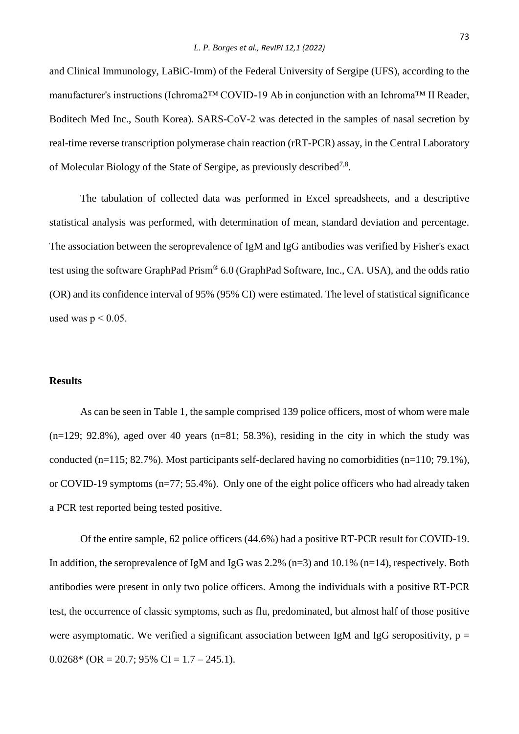and Clinical Immunology, LaBiC-Imm) of the Federal University of Sergipe (UFS), according to the manufacturer's instructions (Ichroma2™ COVID-19 Ab in conjunction with an Ichroma™ II Reader, Boditech Med Inc., South Korea). SARS-CoV-2 was detected in the samples of nasal secretion by real-time reverse transcription polymerase chain reaction (rRT-PCR) assay, in the Central Laboratory of Molecular Biology of the State of Sergipe, as previously described<sup>7,8</sup>.

The tabulation of collected data was performed in Excel spreadsheets, and a descriptive statistical analysis was performed, with determination of mean, standard deviation and percentage. The association between the seroprevalence of IgM and IgG antibodies was verified by Fisher's exact test using the software GraphPad Prism® 6.0 (GraphPad Software, Inc., CA. USA), and the odds ratio (OR) and its confidence interval of 95% (95% CI) were estimated. The level of statistical significance used was  $p < 0.05$ .

### **Results**

As can be seen in Table 1, the sample comprised 139 police officers, most of whom were male  $(n=129; 92.8\%)$ , aged over 40 years  $(n=81; 58.3\%)$ , residing in the city in which the study was conducted (n=115; 82.7%). Most participants self-declared having no comorbidities (n=110; 79.1%), or COVID-19 symptoms (n=77; 55.4%). Only one of the eight police officers who had already taken a PCR test reported being tested positive.

Of the entire sample, 62 police officers (44.6%) had a positive RT-PCR result for COVID-19. In addition, the seroprevalence of IgM and IgG was 2.2% (n=3) and 10.1% (n=14), respectively. Both antibodies were present in only two police officers. Among the individuals with a positive RT-PCR test, the occurrence of classic symptoms, such as flu, predominated, but almost half of those positive were asymptomatic. We verified a significant association between IgM and IgG seropositivity,  $p =$  $0.0268*$  (OR = 20.7; 95% CI = 1.7 – 245.1).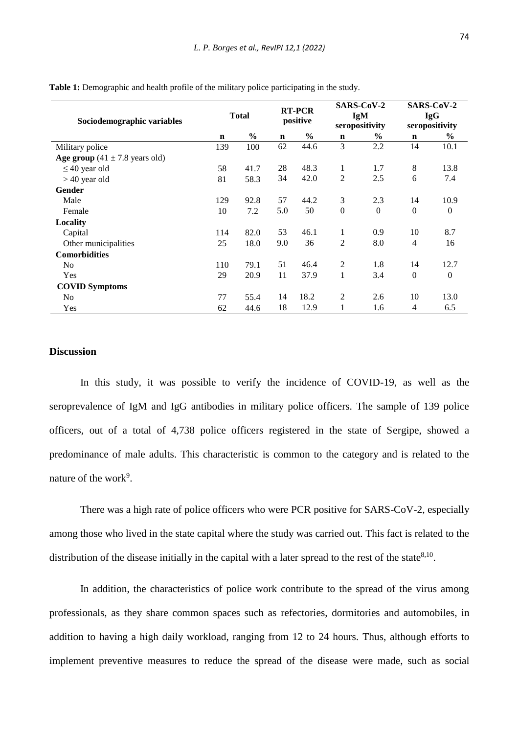| Sociodemographic variables                 | <b>Total</b> |               | <b>RT-PCR</b><br>positive |      | SARS-CoV-2<br><b>IgM</b><br>seropositivity |              | SARS-CoV-2<br><b>IgG</b><br>seropositivity |                  |
|--------------------------------------------|--------------|---------------|---------------------------|------|--------------------------------------------|--------------|--------------------------------------------|------------------|
|                                            | $\mathbf n$  | $\frac{0}{0}$ | $\mathbf n$               | $\%$ | $\mathbf n$                                | $\%$         | $\mathbf n$                                | $\%$             |
| Military police                            | 139          | 100           | 62                        | 44.6 | 3                                          | 2.2          | 14                                         | 10.1             |
| Age group $(41 \pm 7.8 \text{ years old})$ |              |               |                           |      |                                            |              |                                            |                  |
| $\leq$ 40 year old                         | 58           | 41.7          | 28                        | 48.3 | 1                                          | 1.7          | 8                                          | 13.8             |
| $>$ 40 year old                            | 81           | 58.3          | 34                        | 42.0 | 2                                          | 2.5          | 6                                          | 7.4              |
| Gender                                     |              |               |                           |      |                                            |              |                                            |                  |
| Male                                       | 129          | 92.8          | 57                        | 44.2 | 3                                          | 2.3          | 14                                         | 10.9             |
| Female                                     | 10           | 7.2           | 5.0                       | 50   | $\boldsymbol{0}$                           | $\mathbf{0}$ | $\overline{0}$                             | $\boldsymbol{0}$ |
| Locality                                   |              |               |                           |      |                                            |              |                                            |                  |
| Capital                                    | 114          | 82.0          | 53                        | 46.1 | 1                                          | 0.9          | 10                                         | 8.7              |
| Other municipalities                       | 25           | 18.0          | 9.0                       | 36   | $\overline{2}$                             | 8.0          | 4                                          | 16               |
| <b>Comorbidities</b>                       |              |               |                           |      |                                            |              |                                            |                  |
| No.                                        | 110          | 79.1          | 51                        | 46.4 | 2                                          | 1.8          | 14                                         | 12.7             |
| <b>Yes</b>                                 | 29           | 20.9          | 11                        | 37.9 | $\mathbf{1}$                               | 3.4          | $\overline{0}$                             | $\boldsymbol{0}$ |
| <b>COVID Symptoms</b>                      |              |               |                           |      |                                            |              |                                            |                  |
| N <sub>0</sub>                             | 77           | 55.4          | 14                        | 18.2 | 2                                          | 2.6          | 10                                         | 13.0             |
| Yes                                        | 62           | 44.6          | 18                        | 12.9 | $\mathbf{1}$                               | 1.6          | 4                                          | 6.5              |

**Table 1:** Demographic and health profile of the military police participating in the study.

## **Discussion**

In this study, it was possible to verify the incidence of COVID-19, as well as the seroprevalence of IgM and IgG antibodies in military police officers. The sample of 139 police officers, out of a total of 4,738 police officers registered in the state of Sergipe, showed a predominance of male adults. This characteristic is common to the category and is related to the nature of the work<sup>9</sup>.

There was a high rate of police officers who were PCR positive for SARS-CoV-2, especially among those who lived in the state capital where the study was carried out. This fact is related to the distribution of the disease initially in the capital with a later spread to the rest of the state $8,10$ .

In addition, the characteristics of police work contribute to the spread of the virus among professionals, as they share common spaces such as refectories, dormitories and automobiles, in addition to having a high daily workload, ranging from 12 to 24 hours. Thus, although efforts to implement preventive measures to reduce the spread of the disease were made, such as social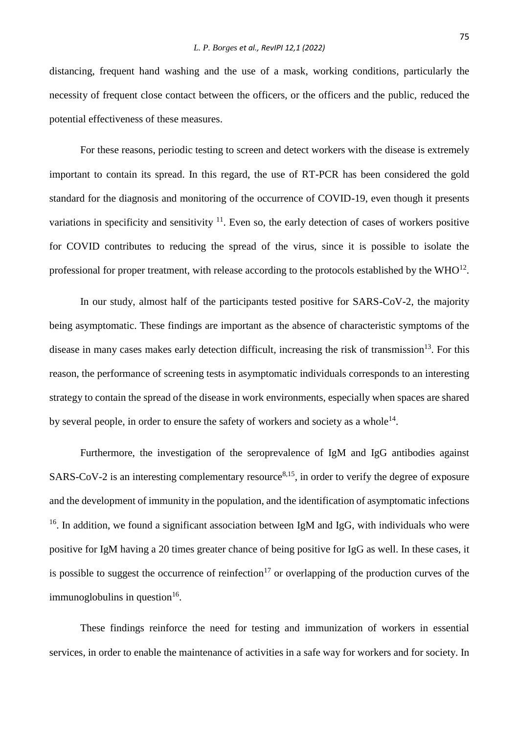distancing, frequent hand washing and the use of a mask, working conditions, particularly the necessity of frequent close contact between the officers, or the officers and the public, reduced the potential effectiveness of these measures.

For these reasons, periodic testing to screen and detect workers with the disease is extremely important to contain its spread. In this regard, the use of RT-PCR has been considered the gold standard for the diagnosis and monitoring of the occurrence of COVID-19, even though it presents variations in specificity and sensitivity  $11$ . Even so, the early detection of cases of workers positive for COVID contributes to reducing the spread of the virus, since it is possible to isolate the professional for proper treatment, with release according to the protocols established by the WHO $^{12}$ .

In our study, almost half of the participants tested positive for SARS-CoV-2, the majority being asymptomatic. These findings are important as the absence of characteristic symptoms of the disease in many cases makes early detection difficult, increasing the risk of transmission<sup>13</sup>. For this reason, the performance of screening tests in asymptomatic individuals corresponds to an interesting strategy to contain the spread of the disease in work environments, especially when spaces are shared by several people, in order to ensure the safety of workers and society as a whole<sup>14</sup>.

Furthermore, the investigation of the seroprevalence of IgM and IgG antibodies against SARS-CoV-2 is an interesting complementary resource<sup>8,15</sup>, in order to verify the degree of exposure and the development of immunity in the population, and the identification of asymptomatic infections <sup>16</sup>. In addition, we found a significant association between IgM and IgG, with individuals who were positive for IgM having a 20 times greater chance of being positive for IgG as well. In these cases, it is possible to suggest the occurrence of reinfection<sup>17</sup> or overlapping of the production curves of the immunoglobulins in question $16$ .

These findings reinforce the need for testing and immunization of workers in essential services, in order to enable the maintenance of activities in a safe way for workers and for society. In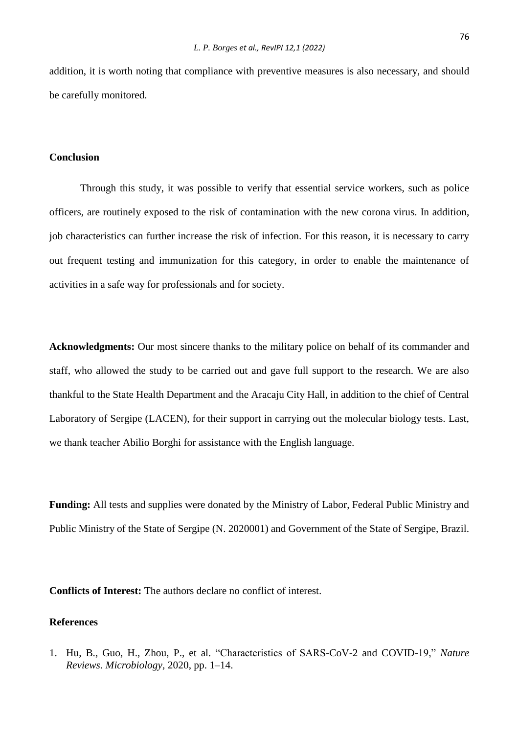addition, it is worth noting that compliance with preventive measures is also necessary, and should be carefully monitored.

### **Conclusion**

Through this study, it was possible to verify that essential service workers, such as police officers, are routinely exposed to the risk of contamination with the new corona virus. In addition, job characteristics can further increase the risk of infection. For this reason, it is necessary to carry out frequent testing and immunization for this category, in order to enable the maintenance of activities in a safe way for professionals and for society.

**Acknowledgments:** Our most sincere thanks to the military police on behalf of its commander and staff, who allowed the study to be carried out and gave full support to the research. We are also thankful to the State Health Department and the Aracaju City Hall, in addition to the chief of Central Laboratory of Sergipe (LACEN), for their support in carrying out the molecular biology tests. Last, we thank teacher Abilio Borghi for assistance with the English language.

**Funding:** All tests and supplies were donated by the Ministry of Labor, Federal Public Ministry and Public Ministry of the State of Sergipe (N. 2020001) and Government of the State of Sergipe, Brazil.

**Conflicts of Interest:** The authors declare no conflict of interest.

#### **References**

1. Hu, B., Guo, H., Zhou, P., et al. "Characteristics of SARS-CoV-2 and COVID-19," *Nature Reviews. Microbiology*, 2020, pp. 1–14.